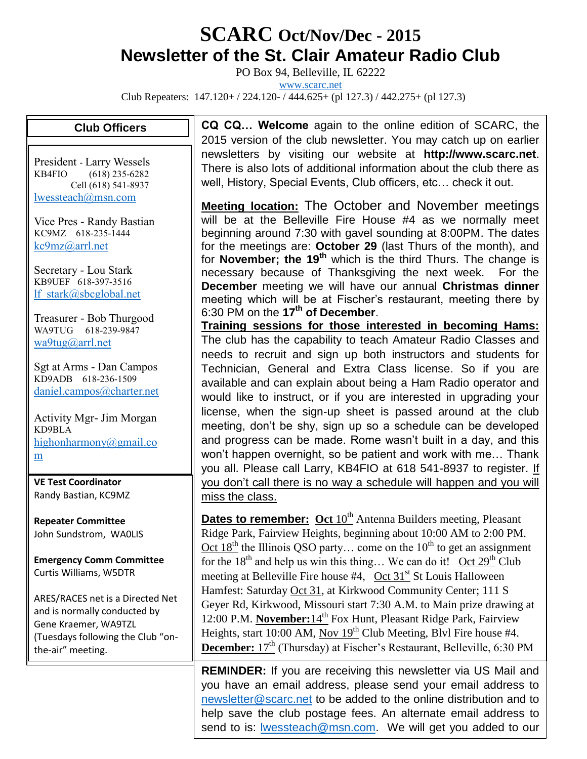## **SCARC Oct/Nov/Dec - <sup>2015</sup> Newsletter of the St. Clair Amateur Radio Club**

PO Box 94, Belleville, IL 62222

[www.scarc.net](http://www.scarc.net/)

Club Repeaters: 147.120+ / 224.120- / 444.625+ (pl 127.3) / 442.275+ (pl 127.3)

## **Club Officers**

President - Larry Wessels KB4FIO (618) 235-6282 Cell (618) 541-8937 [lwessteach@msn.com](mailto:lwessteach@msn.com)

Vice Pres - Randy Bastian KC9MZ 618-235-1444 [kc9mz@arrl.net](mailto:kc9mz@arrl.net)

Secretary - Lou Stark KB9UEF 618-397-3516 [lf\\_stark@sbcglobal.net](mailto:lf_stark@sbcglobal.net)

Treasurer - Bob Thurgood WA9TUG 618-239-9847 [wa9tug@arrl.net](mailto:wa9tug@arrl.net)

Sgt at Arms - Dan Campos KD9ADB 618-236-1509 [daniel.campos@charter.net](mailto:daniel.campos@charter.net)

Activity Mgr- Jim Morgan KD9BLA [highonharmony@gmail.co](mailto:highonharmony@gmail.com) [m](mailto:highonharmony@gmail.com)

**VE Test Coordinator** Randy Bastian, KC9MZ

**Repeater Committee** John Sundstrom, WA0LIS

**Emergency Comm Committee** Curtis Williams, W5DTR

ARES/RACES net is a Directed Net and is normally conducted by Gene Kraemer, WA9TZL (Tuesdays following the Club "onthe-air" meeting.

list…

**CQ CQ… Welcome** again to the online edition of SCARC, the 2015 version of the club newsletter. You may catch up on earlier newsletters by visiting our website at **http://www.scarc.net**. There is also lots of additional information about the club there as well, History, Special Events, Club officers, etc… check it out.

**Meeting location:** The October and November meetings will be at the Belleville Fire House #4 as we normally meet beginning around 7:30 with gavel sounding at 8:00PM. The dates for the meetings are: **October 29** (last Thurs of the month), and for **November; the 19th** which is the third Thurs. The change is necessary because of Thanksgiving the next week. For the **December** meeting we will have our annual **Christmas dinner**  meeting which will be at Fischer's restaurant, meeting there by 6:30 PM on the **17th of December**.

**Training sessions for those interested in becoming Hams:** The club has the capability to teach Amateur Radio Classes and needs to recruit and sign up both instructors and students for Technician, General and Extra Class license. So if you are available and can explain about being a Ham Radio operator and would like to instruct, or if you are interested in upgrading your license, when the sign-up sheet is passed around at the club meeting, don't be shy, sign up so a schedule can be developed and progress can be made. Rome wasn't built in a day, and this won't happen overnight, so be patient and work with me… Thank you all. Please call Larry, KB4FIO at 618 541-8937 to register. If you don't call there is no way a schedule will happen and you will miss the class.

**Dates to remember:** Oct 10<sup>th</sup> Antenna Builders meeting, Pleasant Ridge Park, Fairview Heights, beginning about 10:00 AM to 2:00 PM. Oct  $18<sup>th</sup>$  the Illinois QSO party... come on the  $10<sup>th</sup>$  to get an assignment for the  $18<sup>th</sup>$  and help us win this thing... We can do it! Oct  $29<sup>th</sup>$  Club meeting at Belleville Fire house  $#4$ , Oct 31<sup>st</sup> St Louis Halloween Hamfest: Saturday Oct 31, at Kirkwood Community Center; 111 S Geyer Rd, Kirkwood, Missouri start 7:30 A.M. to Main prize drawing at 12:00 P.M. **November:**14<sup>th</sup> Fox Hunt, Pleasant Ridge Park, Fairview Heights, start 10:00 AM, Nov  $19<sup>th</sup>$  Club Meeting, Blvl Fire house #4. **December:** 17<sup>th</sup> (Thursday) at Fischer's Restaurant, Belleville, 6:30 PM

Christmas Dinner/Party meeting, fun and games… **REMINDER:** If you are receiving this newsletter via US Mail and you have an email address, please send your email address to [newsletter@scarc.net](mailto:newsletter@scarc.net) to be added to the online distribution and to help save the club postage fees. An alternate email address to send to is: [lwessteach@msn.com.](mailto:lwessteach@msn.com) We will get you added to our